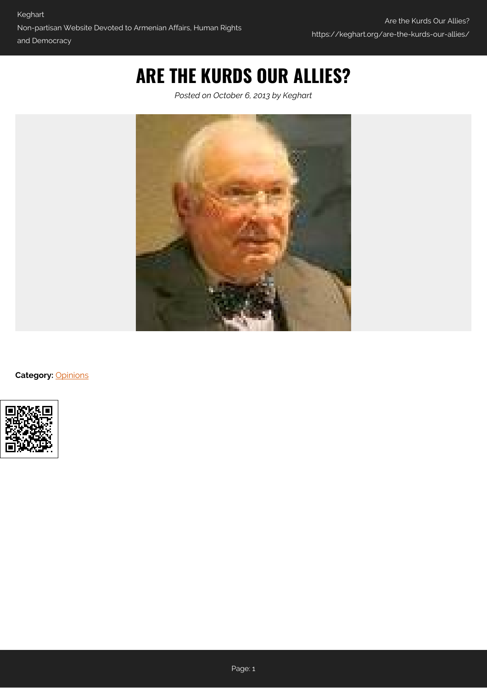# **ARE THE KURDS OUR ALLIES?**

*Posted on October 6, 2013 by Keghart*



**Category:** [Opinions](https://keghart.org/category/opinions/)

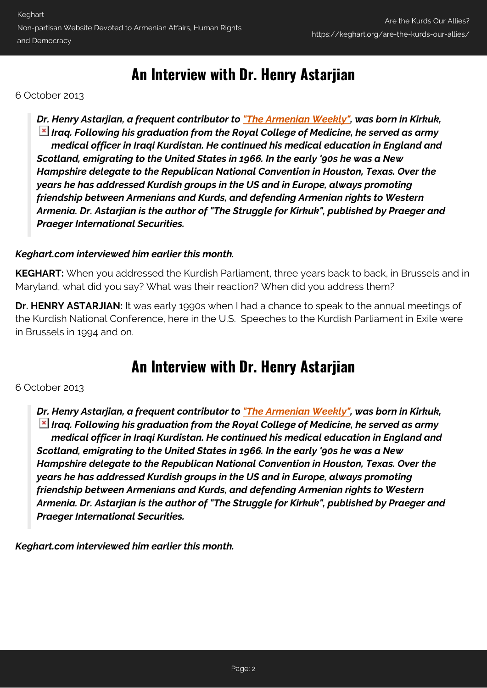## **An Interview with Dr. Henry Astarjian**

6 October 2013

*Dr. Henry Astarjian, a frequent contributor to ["The Armenian Weekly"](http://www.armenianweekly.com/2013/09/28/astarjian-hypocrisy-or-ineptitude/), was born in Kirkuk, Iraq. Following his graduation from the Royal College of Medicine, he served as army medical officer in Iraqi Kurdistan. He continued his medical education in England and Scotland, emigrating to the United States in 1966. In the early '90s he was a New Hampshire delegate to the Republican National Convention in Houston, Texas. Over the years he has addressed Kurdish groups in the US and in Europe, always promoting friendship between Armenians and Kurds, and defending Armenian rights to Western Armenia. Dr. Astarjian is the author of "The Struggle for Kirkuk", published by Praeger and Praeger International Securities.*

#### *Keghart.com interviewed him earlier this month.*

**KEGHART:** When you addressed the Kurdish Parliament, three years back to back, in Brussels and in Maryland, what did you say? What was their reaction? When did you address them?

**Dr. HENRY ASTARJIAN:** It was early 1990s when I had a chance to speak to the annual meetings of the Kurdish National Conference, here in the U.S. Speeches to the Kurdish Parliament in Exile were in Brussels in 1994 and on.

### **An Interview with Dr. Henry Astarjian**

#### 6 October 2013

*Dr. Henry Astarjian, a frequent contributor to ["The Armenian Weekly"](http://www.armenianweekly.com/2013/09/28/astarjian-hypocrisy-or-ineptitude/), was born in Kirkuk, Iraq. Following his graduation from the Royal College of Medicine, he served as army medical officer in Iraqi Kurdistan. He continued his medical education in England and Scotland, emigrating to the United States in 1966. In the early '90s he was a New Hampshire delegate to the Republican National Convention in Houston, Texas. Over the years he has addressed Kurdish groups in the US and in Europe, always promoting friendship between Armenians and Kurds, and defending Armenian rights to Western Armenia. Dr. Astarjian is the author of "The Struggle for Kirkuk", published by Praeger and Praeger International Securities.*

*Keghart.com interviewed him earlier this month.*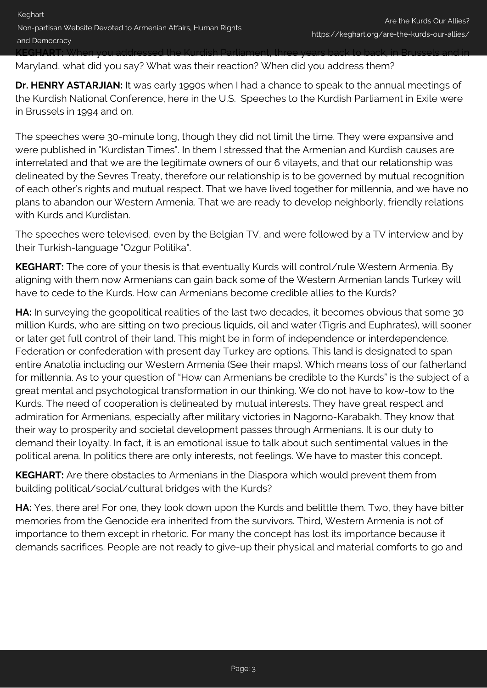Maryland, what did you say? What was their reaction? When did you address them?

**Dr. HENRY ASTARJIAN:** It was early 1990s when I had a chance to speak to the annual meetings of the Kurdish National Conference, here in the U.S. Speeches to the Kurdish Parliament in Exile were in Brussels in 1994 and on.

The speeches were 30-minute long, though they did not limit the time. They were expansive and were published in "Kurdistan Times". In them I stressed that the Armenian and Kurdish causes are interrelated and that we are the legitimate owners of our 6 vilayets, and that our relationship was delineated by the Sevres Treaty, therefore our relationship is to be governed by mutual recognition of each other's rights and mutual respect. That we have lived together for millennia, and we have no plans to abandon our Western Armenia. That we are ready to develop neighborly, friendly relations with Kurds and Kurdistan.

The speeches were televised, even by the Belgian TV, and were followed by a TV interview and by their Turkish-language "Ozgur Politika".

**KEGHART:** The core of your thesis is that eventually Kurds will control/rule Western Armenia. By aligning with them now Armenians can gain back some of the Western Armenian lands Turkey will have to cede to the Kurds. How can Armenians become credible allies to the Kurds?

**HA:** In surveying the geopolitical realities of the last two decades, it becomes obvious that some 30 million Kurds, who are sitting on two precious liquids, oil and water (Tigris and Euphrates), will sooner or later get full control of their land. This might be in form of independence or interdependence. Federation or confederation with present day Turkey are options. This land is designated to span entire Anatolia including our Western Armenia (See their maps). Which means loss of our fatherland for millennia. As to your question of "How can Armenians be credible to the Kurds" is the subject of a great mental and psychological transformation in our thinking. We do not have to kow-tow to the Kurds. The need of cooperation is delineated by mutual interests. They have great respect and admiration for Armenians, especially after military victories in Nagorno-Karabakh. They know that their way to prosperity and societal development passes through Armenians. It is our duty to demand their loyalty. In fact, it is an emotional issue to talk about such sentimental values in the political arena. In politics there are only interests, not feelings. We have to master this concept.

**KEGHART:** Are there obstacles to Armenians in the Diaspora which would prevent them from building political/social/cultural bridges with the Kurds?

**HA:** Yes, there are! For one, they look down upon the Kurds and belittle them. Two, they have bitter memories from the Genocide era inherited from the survivors. Third, Western Armenia is not of importance to them except in rhetoric. For many the concept has lost its importance because it demands sacrifices. People are not ready to give-up their physical and material comforts to go and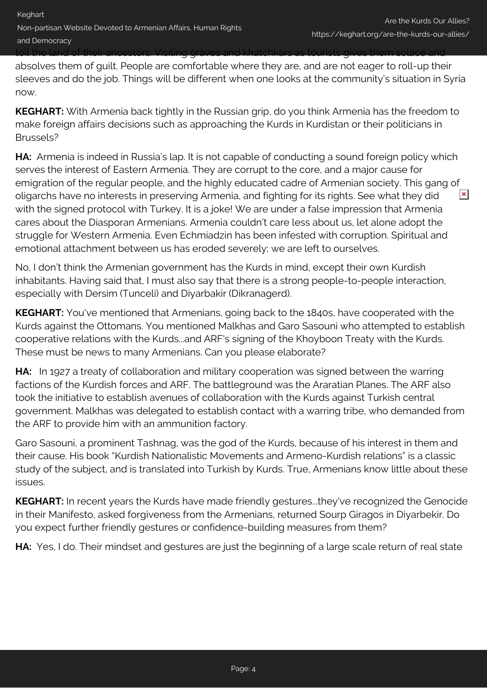absolves them of guilt. People are comfortable where they are, and are not eager to roll-up their sleeves and do the job. Things will be different when one looks at the community's situation in Syria now.

**KEGHART:** With Armenia back tightly in the Russian grip, do you think Armenia has the freedom to make foreign affairs decisions such as approaching the Kurds in Kurdistan or their politicians in Brussels?

**HA:** Armenia is indeed in Russia's lap. It is not capable of conducting a sound foreign policy which serves the interest of Eastern Armenia. They are corrupt to the core, and a major cause for emigration of the regular people, and the highly educated cadre of Armenian society. This gang of  $\pmb{\times}$ oligarchs have no interests in preserving Armenia, and fighting for its rights. See what they did with the signed protocol with Turkey. It is a joke! We are under a false impression that Armenia cares about the Diasporan Armenians. Armenia couldn't care less about us, let alone adopt the struggle for Western Armenia. Even Echmiadzin has been infested with corruption. Spiritual and emotional attachment between us has eroded severely; we are left to ourselves.

No, I don't think the Armenian government has the Kurds in mind, except their own Kurdish inhabitants. Having said that, I must also say that there is a strong people-to-people interaction, especially with Dersim (Tunceli) and Diyarbakir (Dikranagerd).

**KEGHART:** You've mentioned that Armenians, going back to the 1840s, have cooperated with the Kurds against the Ottomans. You mentioned Malkhas and Garo Sasouni who attempted to establish cooperative relations with the Kurds...and ARF's signing of the Khoyboon Treaty with the Kurds. These must be news to many Armenians. Can you please elaborate?

**HA:** In 1927 a treaty of collaboration and military cooperation was signed between the warring factions of the Kurdish forces and ARF. The battleground was the Araratian Planes. The ARF also took the initiative to establish avenues of collaboration with the Kurds against Turkish central government. Malkhas was delegated to establish contact with a warring tribe, who demanded from the ARF to provide him with an ammunition factory.

Garo Sasouni, a prominent Tashnag, was the god of the Kurds, because of his interest in them and their cause. His book "Kurdish Nationalistic Movements and Armeno-Kurdish relations" is a classic study of the subject, and is translated into Turkish by Kurds. True, Armenians know little about these issues.

**KEGHART:** In recent years the Kurds have made friendly gestures...they've recognized the Genocide in their Manifesto, asked forgiveness from the Armenians, returned Sourp Giragos in Diyarbekir. Do you expect further friendly gestures or confidence-building measures from them?

**HA:** Yes, I do. Their mindset and gestures are just the beginning of a large scale return of real state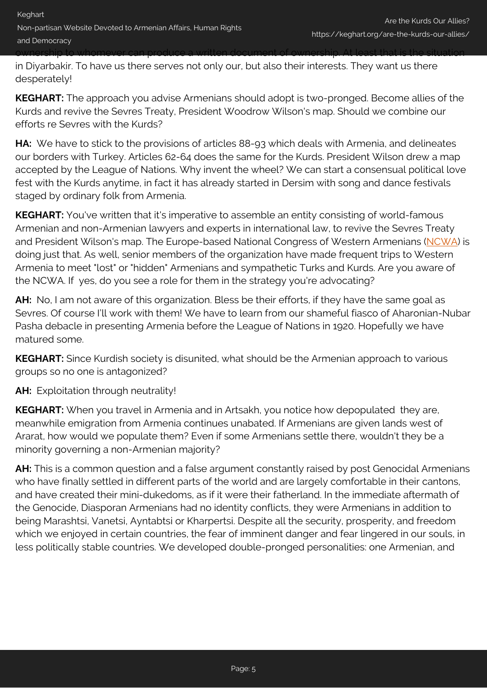in Diyarbakir. To have us there serves not only our, but also their interests. They want us there desperately!

**KEGHART:** The approach you advise Armenians should adopt is two-pronged. Become allies of the Kurds and revive the Sevres Treaty, President Woodrow Wilson's map. Should we combine our efforts re Sevres with the Kurds?

**HA:** We have to stick to the provisions of articles 88-93 which deals with Armenia, and delineates our borders with Turkey. Articles 62-64 does the same for the Kurds. President Wilson drew a map accepted by the League of Nations. Why invent the wheel? We can start a consensual political love fest with the Kurds anytime, in fact it has already started in Dersim with song and dance festivals staged by ordinary folk from Armenia.

**KEGHART:** You've written that it's imperative to assemble an entity consisting of world-famous Armenian and non-Armenian lawyers and experts in international law, to revive the Sevres Treaty and President Wilson's map. The Europe-based National Congress of Western Armenians [\(NCWA\)](http://www.keghart.com/NCWA-ArmeniansInterests) is doing just that. As well, senior members of the organization have made frequent trips to Western Armenia to meet "lost" or "hidden" Armenians and sympathetic Turks and Kurds. Are you aware of the NCWA. If yes, do you see a role for them in the strategy you're advocating?

**AH:** No, I am not aware of this organization. Bless be their efforts, if they have the same goal as Sevres. Of course I'll work with them! We have to learn from our shameful fiasco of Aharonian-Nubar Pasha debacle in presenting Armenia before the League of Nations in 1920. Hopefully we have matured some.

**KEGHART:** Since Kurdish society is disunited, what should be the Armenian approach to various groups so no one is antagonized?

**AH:** Exploitation through neutrality!

**KEGHART:** When you travel in Armenia and in Artsakh, you notice how depopulated they are, meanwhile emigration from Armenia continues unabated. If Armenians are given lands west of Ararat, how would we populate them? Even if some Armenians settle there, wouldn't they be a minority governing a non-Armenian majority?

**AH:** This is a common question and a false argument constantly raised by post Genocidal Armenians who have finally settled in different parts of the world and are largely comfortable in their cantons, and have created their mini-dukedoms, as if it were their fatherland. In the immediate aftermath of the Genocide, Diasporan Armenians had no identity conflicts, they were Armenians in addition to being Marashtsi, Vanetsi, Ayntabtsi or Kharpertsi. Despite all the security, prosperity, and freedom which we enjoyed in certain countries, the fear of imminent danger and fear lingered in our souls, in less politically stable countries. We developed double-pronged personalities: one Armenian, and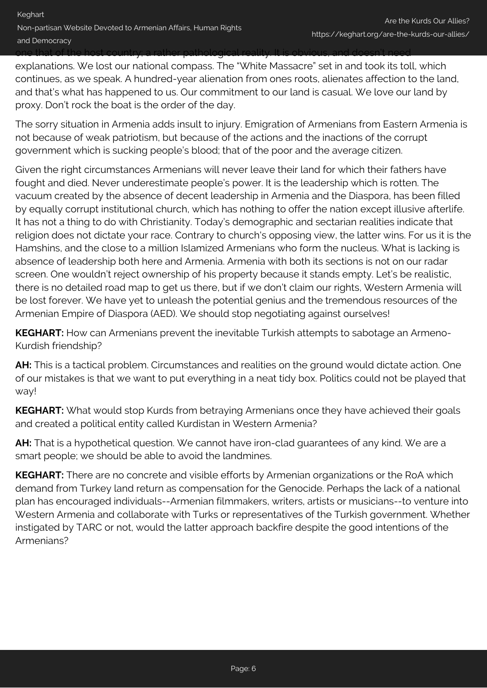one that of the host country; a rather pathological reality. It is obvious, and doesn't need

explanations. We lost our national compass. The "White Massacre" set in and took its toll, which continues, as we speak. A hundred-year alienation from ones roots, alienates affection to the land, and that's what has happened to us. Our commitment to our land is casual. We love our land by proxy. Don't rock the boat is the order of the day.

The sorry situation in Armenia adds insult to injury. Emigration of Armenians from Eastern Armenia is not because of weak patriotism, but because of the actions and the inactions of the corrupt government which is sucking people's blood; that of the poor and the average citizen.

Given the right circumstances Armenians will never leave their land for which their fathers have fought and died. Never underestimate people's power. It is the leadership which is rotten. The vacuum created by the absence of decent leadership in Armenia and the Diaspora, has been filled by equally corrupt institutional church, which has nothing to offer the nation except illusive afterlife. It has not a thing to do with Christianity. Today's demographic and sectarian realities indicate that religion does not dictate your race. Contrary to church's opposing view, the latter wins. For us it is the Hamshins, and the close to a million Islamized Armenians who form the nucleus. What is lacking is absence of leadership both here and Armenia. Armenia with both its sections is not on our radar screen. One wouldn't reject ownership of his property because it stands empty. Let's be realistic, there is no detailed road map to get us there, but if we don't claim our rights, Western Armenia will be lost forever. We have yet to unleash the potential genius and the tremendous resources of the Armenian Empire of Diaspora (AED). We should stop negotiating against ourselves!

**KEGHART:** How can Armenians prevent the inevitable Turkish attempts to sabotage an Armeno-Kurdish friendship?

**AH:** This is a tactical problem. Circumstances and realities on the ground would dictate action. One of our mistakes is that we want to put everything in a neat tidy box. Politics could not be played that way!

**KEGHART:** What would stop Kurds from betraying Armenians once they have achieved their goals and created a political entity called Kurdistan in Western Armenia?

**AH:** That is a hypothetical question. We cannot have iron-clad guarantees of any kind. We are a smart people; we should be able to avoid the landmines.

**KEGHART:** There are no concrete and visible efforts by Armenian organizations or the RoA which demand from Turkey land return as compensation for the Genocide. Perhaps the lack of a national plan has encouraged individuals--Armenian filmmakers, writers, artists or musicians--to venture into Western Armenia and collaborate with Turks or representatives of the Turkish government. Whether instigated by TARC or not, would the latter approach backfire despite the good intentions of the Armenians?